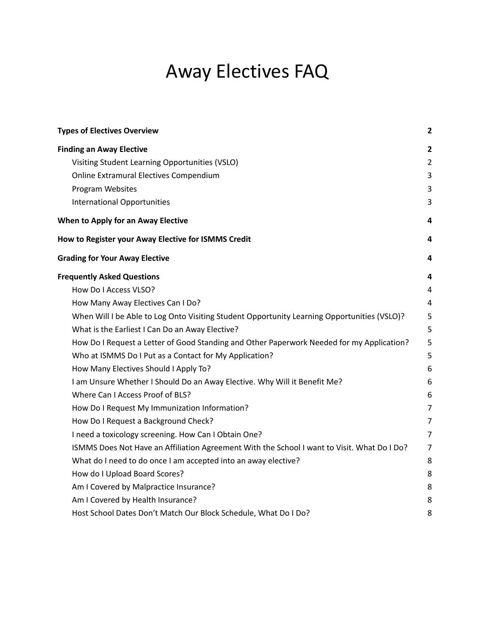# Away Electives FAQ

| <b>Types of Electives Overview</b>                                                          | $\overline{\mathbf{2}}$ |
|---------------------------------------------------------------------------------------------|-------------------------|
| <b>Finding an Away Elective</b>                                                             | $\overline{2}$          |
| Visiting Student Learning Opportunities (VSLO)                                              | $\overline{2}$          |
| Online Extramural Electives Compendium                                                      | 3                       |
| Program Websites                                                                            | 3                       |
| <b>International Opportunities</b>                                                          | 3                       |
| When to Apply for an Away Elective                                                          | 4                       |
| How to Register your Away Elective for ISMMS Credit                                         | 4                       |
| <b>Grading for Your Away Elective</b>                                                       | 4                       |
| <b>Frequently Asked Questions</b>                                                           | 4                       |
| How Do I Access VLSO?                                                                       | 4                       |
| How Many Away Electives Can I Do?                                                           | 4                       |
| When Will I be Able to Log Onto Visiting Student Opportunity Learning Opportunities (VSLO)? | 5                       |
| What is the Earliest I Can Do an Away Elective?                                             | 5                       |
| How Do I Request a Letter of Good Standing and Other Paperwork Needed for my Application?   | 5                       |
| Who at ISMMS Do I Put as a Contact for My Application?                                      | 5                       |
| How Many Electives Should I Apply To?                                                       | 6                       |
| I am Unsure Whether I Should Do an Away Elective. Why Will it Benefit Me?                   | 6                       |
| Where Can I Access Proof of BLS?                                                            | 6                       |
| How Do I Request My Immunization Information?                                               | $\overline{7}$          |
| How Do I Request a Background Check?                                                        | $\overline{7}$          |
| I need a toxicology screening. How Can I Obtain One?                                        | 7                       |
| ISMMS Does Not Have an Affiliation Agreement With the School I want to Visit. What Do I Do? | 7                       |
| What do I need to do once I am accepted into an away elective?                              | 8                       |
| How do I Upload Board Scores?                                                               | 8                       |
| Am I Covered by Malpractice Insurance?                                                      | 8                       |
| Am I Covered by Health Insurance?                                                           | 8                       |
| Host School Dates Don't Match Our Block Schedule, What Do I Do?                             | 8                       |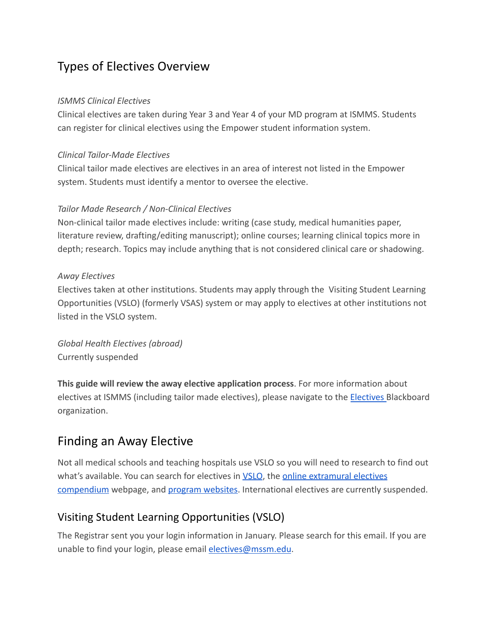# Types of Electives Overview

#### *ISMMS Clinical Electives*

Clinical electives are taken during Year 3 and Year 4 of your MD program at ISMMS. Students can register for clinical electives using the Empower student information system.

#### *Clinical Tailor-Made Electives*

Clinical tailor made electives are electives in an area of interest not listed in the Empower system. Students must identify a mentor to oversee the elective.

#### *Tailor Made Research / Non-Clinical Electives*

Non-clinical tailor made electives include: writing (case study, medical humanities paper, literature review, drafting/editing manuscript); online courses; learning clinical topics more in depth; research. Topics may include anything that is not considered clinical care or shadowing.

#### *Away Electives*

Electives taken at other institutions. Students may apply through the Visiting Student Learning Opportunities (VSLO) (formerly VSAS) system or may apply to electives at other institutions not listed in the VSLO system.

*Global Health Electives (abroad)* Currently suspended

**This guide will review the away elective application process**. For more information about electives at ISMMS (including tailor made electives), please navigate to the **Electives** Blackboard organization.

### Finding an Away Elective

Not all medical schools and teaching hospitals use VSLO so you will need to research to find out what's available. You can search for electives in VSLO, the online extramural electives compendium webpage, and program websites. International electives are currently suspended.

### Visiting Student Learning Opportunities (VSLO)

The Registrar sent you your login information in January. Please search for this email. If you are unable to find your login, please email electives@mssm.edu.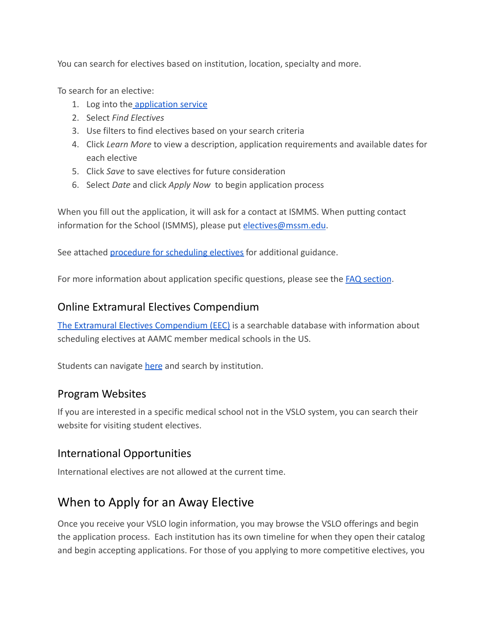You can search for electives based on institution, location, specialty and more.

To search for an elective:

- 1. Log into the application service
- 2. Select *Find Electives*
- 3. Use filters to find electives based on your search criteria
- 4. Click *Learn More* to view a description, application requirements and available dates for each elective
- 5. Click *Save* to save electives for future consideration
- 6. Select *Date* and click *Apply Now* to begin application process

When you fill out the application, it will ask for a contact at ISMMS. When putting contact information for the School (ISMMS), please put electives@mssm.edu.

See attached procedure for scheduling electives for additional guidance.

For more information about application specific questions, please see the **FAQ** section.

#### Online Extramural Electives Compendium

The Extramural Electives Compendium (EEC) is a searchable database with information about scheduling electives at AAMC member medical schools in the US.

Students can navigate here and search by institution.

#### Program Websites

If you are interested in a specific medical school not in the VSLO system, you can search their website for visiting student electives.

### International Opportunities

International electives are not allowed at the current time.

## When to Apply for an Away Elective

Once you receive your VSLO login information, you may browse the VSLO offerings and begin the application process. Each institution has its own timeline for when they open their catalog and begin accepting applications. For those of you applying to more competitive electives, you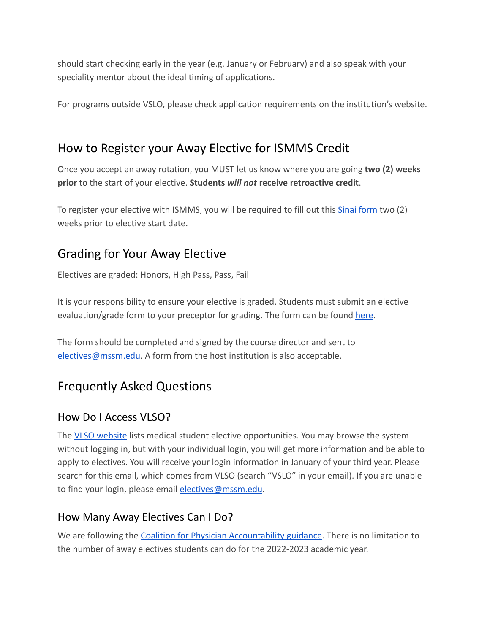should start checking early in the year (e.g. January or February) and also speak with your speciality mentor about the ideal timing of applications.

For programs outside VSLO, please check application requirements on the institution's website.

### How to Register your Away Elective for ISMMS Credit

Once you accept an away rotation, you MUST let us know where you are going **two (2) weeks prior** to the start of your elective. **Students** *will not* **receive retroactive credit**.

To register your elective with ISMMS, you will be required to fill out this **Sinai form** two (2) weeks prior to elective start date.

## Grading for Your Away Elective

Electives are graded: Honors, High Pass, Pass, Fail

It is your responsibility to ensure your elective is graded. Students must submit an elective evaluation/grade form to your preceptor for grading. The form can be found here.

The form should be completed and signed by the course director and sent to electives@mssm.edu. A form from the host institution is also acceptable.

## Frequently Asked Questions

### How Do I Access VLSO?

The VLSO website lists medical student elective opportunities. You may browse the system without logging in, but with your individual login, you will get more information and be able to apply to electives. You will receive your login information in January of your third year. Please search for this email, which comes from VLSO (search "VSLO" in your email). If you are unable to find your login, please email electives@mssm.edu.

### How Many Away Electives Can I Do?

We are following the Coalition for Physician Accountability guidance. There is no limitation to the number of away electives students can do for the 2022-2023 academic year.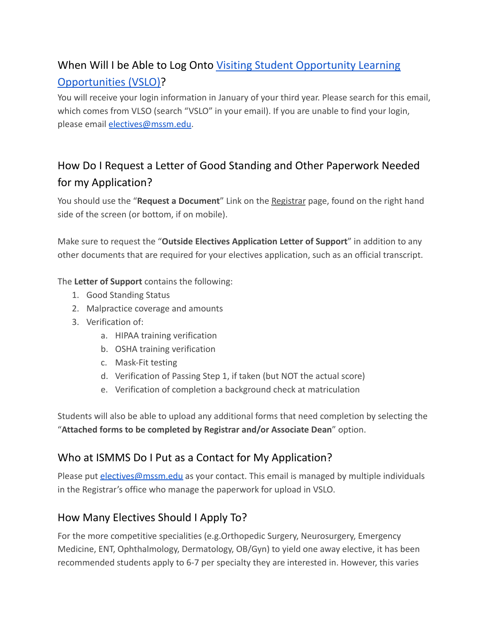# When Will I be Able to Log Onto Visiting Student Opportunity Learning Opportunities (VSLO)?

You will receive your login information in January of your third year. Please search for this email, which comes from VLSO (search "VSLO" in your email). If you are unable to find your login, please email electives@mssm.edu.

# How Do I Request a Letter of Good Standing and Other Paperwork Needed for my Application?

You should use the "**Request a Document**" Link on the Registrar page, found on the right hand side of the screen (or bottom, if on mobile).

Make sure to request the "**Outside Electives Application Letter of Support**" in addition to any other documents that are required for your electives application, such as an official transcript.

The **Letter of Support** contains the following:

- 1. Good Standing Status
- 2. Malpractice coverage and amounts
- 3. Verification of:
	- a. HIPAA training verification
	- b. OSHA training verification
	- c. Mask-Fit testing
	- d. Verification of Passing Step 1, if taken (but NOT the actual score)
	- e. Verification of completion a background check at matriculation

Students will also be able to upload any additional forms that need completion by selecting the "**Attached forms to be completed by Registrar and/or Associate Dean**" option.

### Who at ISMMS Do I Put as a Contact for My Application?

Please put electives@mssm.edu as your contact. This email is managed by multiple individuals in the Registrar's office who manage the paperwork for upload in VSLO.

### How Many Electives Should I Apply To?

For the more competitive specialities (e.g.Orthopedic Surgery, Neurosurgery, Emergency Medicine, ENT, Ophthalmology, Dermatology, OB/Gyn) to yield one away elective, it has been recommended students apply to 6-7 per specialty they are interested in. However, this varies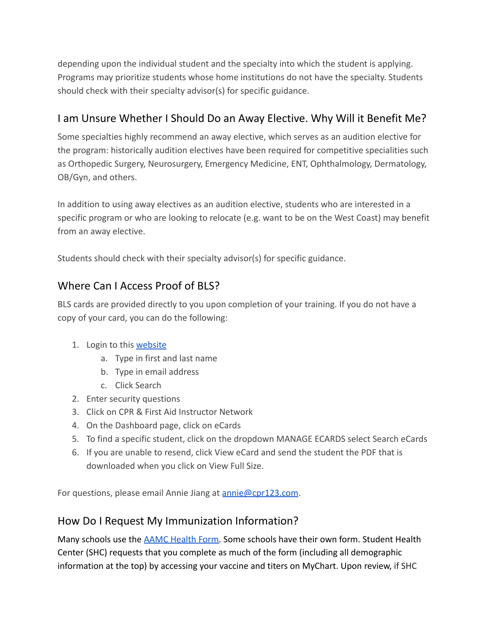depending upon the individual student and the specialty into which the student is applying. Programs may prioritize students whose home institutions do not have the specialty. Students should check with their specialty advisor(s) for specific guidance.

### I am Unsure Whether I Should Do an Away Elective. Why Will it Benefit Me?

Some specialties highly recommend an away elective, which serves as an audition elective for the program: historically audition electives have been required for competitive specialities such as Orthopedic Surgery, Neurosurgery, Emergency Medicine, ENT, Ophthalmology, Dermatology, OB/Gyn, and others.

In addition to using away electives as an audition elective, students who are interested in a specific program or who are looking to relocate (e.g. want to be on the West Coast) may benefit from an away elective.

Students should check with their specialty advisor(s) for specific guidance.

### Where Can I Access Proof of BLS?

BLS cards are provided directly to you upon completion of your training. If you do not have a copy of your card, you can do the following:

- 1. Login to this website
	- a. Type in first and last name
	- b. Type in email address
	- c. Click Search
- 2. Enter security questions
- 3. Click on CPR & First Aid Instructor Network
- 4. On the Dashboard page, click on eCards
- 5. To find a specific student, click on the dropdown MANAGE ECARDS select Search eCards
- 6. If you are unable to resend, click View eCard and send the student the PDF that is downloaded when you click on View Full Size.

For questions, please email Annie Jiang at annie@cpr123.com.

### How Do I Request My Immunization Information?

Many schools use the AAMC Health Form. Some schools have their own form. Student Health Center (SHC) requests that you complete as much of the form (including all demographic information at the top) by accessing your vaccine and titers on MyChart. Upon review, if SHC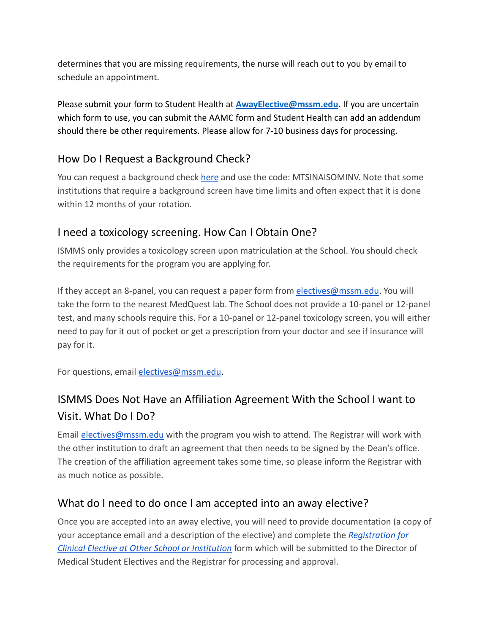determines that you are missing requirements, the nurse will reach out to you by email to schedule an appointment.

Please submit your form to Student Health at **AwayElective@mssm.edu.** If you are uncertain which form to use, you can submit the AAMC form and Student Health can add an addendum should there be other requirements. Please allow for 7-10 business days for processing.

### How Do I Request a Background Check?

You can request a background check here and use the code: MTSINAISOMINV. Note that some institutions that require a background screen have time limits and often expect that it is done within 12 months of your rotation.

### I need a toxicology screening. How Can I Obtain One?

ISMMS only provides a toxicology screen upon matriculation at the School. You should check the requirements for the program you are applying for.

If they accept an 8-panel, you can request a paper form from electives@mssm.edu. You will take the form to the nearest MedQuest lab. The School does not provide a 10-panel or 12-panel test, and many schools require this. For a 10-panel or 12-panel toxicology screen, you will either need to pay for it out of pocket or get a prescription from your doctor and see if insurance will pay for it.

For questions, email electives@mssm.edu.

## ISMMS Does Not Have an Affiliation Agreement With the School I want to Visit. What Do I Do?

Email electives@mssm.edu with the program you wish to attend. The Registrar will work with the other institution to draft an agreement that then needs to be signed by the Dean's office. The creation of the affiliation agreement takes some time, so please inform the Registrar with as much notice as possible.

### What do I need to do once I am accepted into an away elective?

Once you are accepted into an away elective, you will need to provide documentation (a copy of your acceptance email and a description of the elective) and complete the *Registration for Clinical Elective at Other School or Institution* form which will be submitted to the Director of Medical Student Electives and the Registrar for processing and approval.